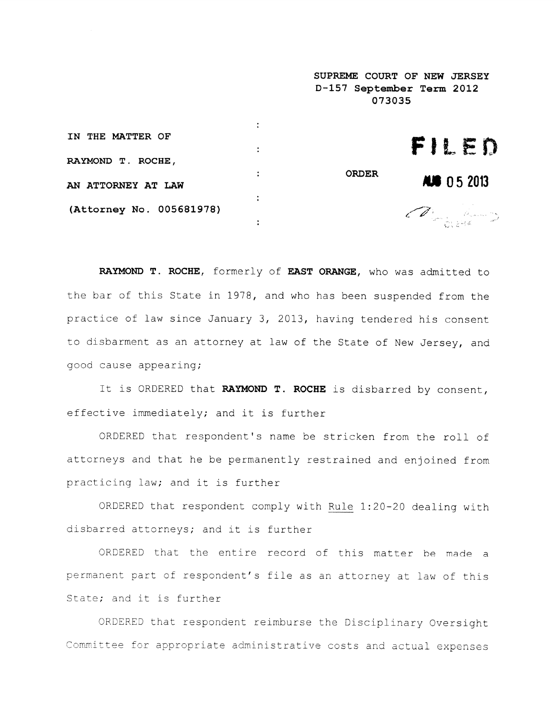|                          |   | SUPREME COURT OF NEW JERSEY<br>D-157 September Term 2012<br>073035 |                    |
|--------------------------|---|--------------------------------------------------------------------|--------------------|
|                          |   |                                                                    |                    |
| IN THE MATTER OF         | ÷ |                                                                    | FILED              |
| RAYMOND T. ROCHE,        |   |                                                                    |                    |
|                          | ÷ | <b>ORDER</b>                                                       | <b>AUG</b> 05 2013 |
| AN ATTORNEY AT LAW       |   |                                                                    |                    |
| (Attorney No. 005681978) |   |                                                                    | Arming County      |
|                          |   |                                                                    |                    |

RAYMOND T. ROCHE, formerly of EAST ORANGE, who was admitted to the bar of this State in 1978, and who has been suspended from the practice of law since January 3, 2013, having tendered his consent to disbarment as an attorney at law of the State of New Jersey, and good cause appearing;

It is ORDERED that RAYMOND T. ROCHE is disbarred by consent, effective immediately; and it is further

ORDERED that respondent's name be stricken from the roll of attorneys and that he be permanently restrained and enjoined from practicing law; and it is further

ORDERED that respondent comply with Rule 1:20-20 dealing with disbarred attorneys; and it is further

ORDERED that the entire record of this matter be made <sup>a</sup> permanen<sup>t</sup> par<sup>t</sup> of respondent's file as an attorney at law of this State; and it is further

ORDERED that respondent reimburse the Disciplinary Oversight Committee for appropriate administrative costs and actual expenses